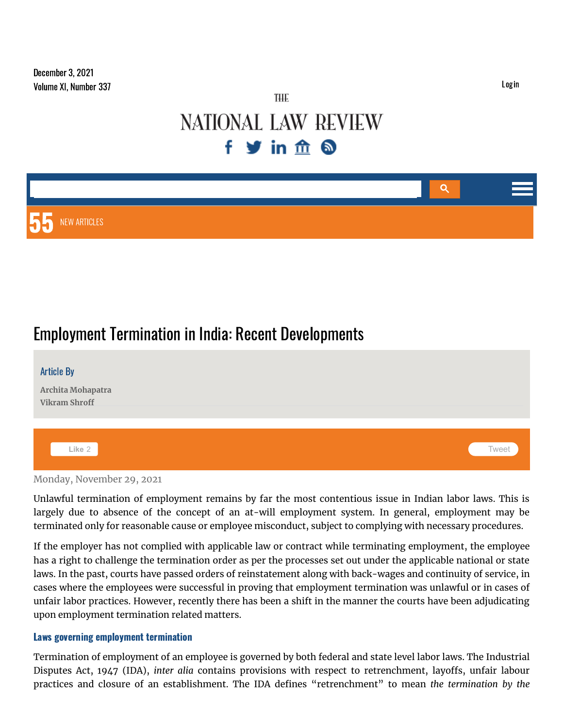# THE **NATIONAL LAW REVIEW** fyinfing

# Q 55 NEW ARTICLES

# Employment Termination in India: Recent Developments

| <b>Article By</b><br>Archita Mohapatra<br>Vikram Shroff |       |
|---------------------------------------------------------|-------|
| Like 2                                                  | Tweet |

Monday, November 29, 2021

Unlawful termination of employment remains by far the most contentious issue in Indian labor laws. This is largely due to absence of the concept of an at-will employment system. In general, employment may be terminated only for reasonable cause or employee misconduct, subject to complying with necessary procedures.

If the employer has not complied with applicable law or contract while terminating employment, the employee has a right to challenge the termination order as per the processes set out under the applicable national or state laws. In the past, courts have passed orders of reinstatement along with back-wages and continuity of service, in cases where the employees were successful in proving that employment termination was unlawful or in cases of unfair labor practices. However, recently there has been a shift in the manner the courts have been adjudicating upon employment termination related matters.

#### Laws governing employment termination

Termination of employment of an employee is governed by both federal and state level labor laws. The Industrial Disputes Act, 1947 (IDA), *inter alia* contains provisions with respect to retrenchment, layoffs, unfair labour practices and closure of an establishment. The IDA defines "retrenchment" to mean *the termination by the*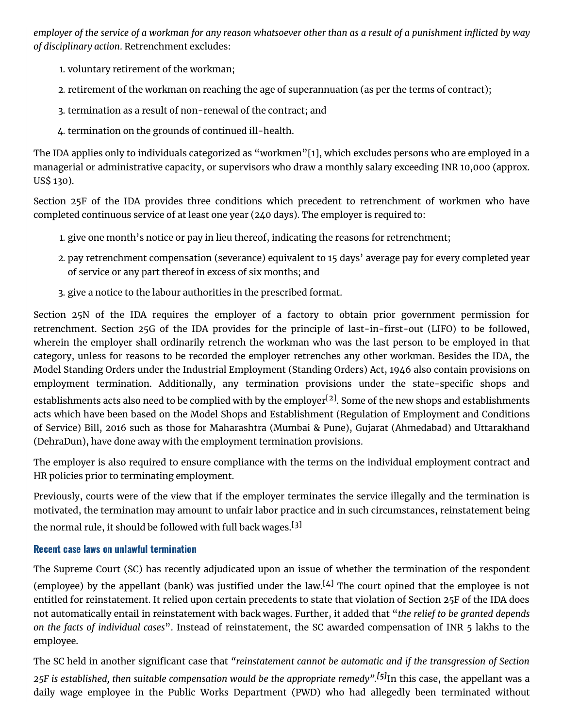employer of the service of a workman for any reason whatsoever other than as a result of a punishment inflicted by way *of disciplinary action*. Retrenchment excludes:

- 1. voluntary retirement of the workman;
- 2. retirement of the workman on reaching the age of superannuation (as per the terms of contract);
- 3. termination as a result of non-renewal of the contract; and
- 4. termination on the grounds of continued ill-health.

The IDA applies only to individuals categorized as "workmen"[1], which excludes persons who are employed in a managerial or administrative capacity, or supervisors who draw a monthly salary exceeding INR 10,000 (approx. US\$ 130).

Section 25F of the IDA provides three conditions which precedent to retrenchment of workmen who have completed continuous service of at least one year (240 days). The employer is required to:

- 1. give one month's notice or pay in lieu thereof, indicating the reasons for retrenchment;
- 2. pay retrenchment compensation (severance) equivalent to 15 days' average pay for every completed year of service or any part thereof in excess of six months; and
- 3. give a notice to the labour authorities in the prescribed format.

Section 25N of the IDA requires the employer of a factory to obtain prior government permission for retrenchment. Section 25G of the IDA provides for the principle of last-in-first-out (LIFO) to be followed, wherein the employer shall ordinarily retrench the workman who was the last person to be employed in that category, unless for reasons to be recorded the employer retrenches any other workman. Besides the IDA, the Model Standing Orders under the Industrial Employment (Standing Orders) Act, 1946 also contain provisions on employment termination. Additionally, any termination provisions under the state-specific shops and establishments acts also need to be complied with by the employer<sup>[2]</sup>. Some of the new shops and establishments acts which have been based on the Model Shops and Establishment (Regulation of Employment and Conditions of Service) Bill, 2016 such as those for Maharashtra (Mumbai & Pune), Gujarat (Ahmedabad) and Uttarakhand (DehraDun), have done away with the employment termination provisions.

The employer is also required to ensure compliance with the terms on the individual employment contract and HR policies prior to terminating employment.

Previously, courts were of the view that if the employer terminates the service illegally and the termination is motivated, the termination may amount to unfair labor practice and in such circumstances, reinstatement being the normal rule, it should be followed with full back wages.<sup>[3]</sup>

## Recent case laws on unlawful termination

The Supreme Court (SC) has recently adjudicated upon an issue of whether the termination of the respondent

(employee) by the appellant (bank) was justified under the law.<sup>[4]</sup> The court opined that the employee is not entitled for reinstatement. It relied upon certain precedents to state that violation of Section 25F of the IDA does not automatically entail in reinstatement with back wages. Further, it added that "*the relief to be granted depends on the facts of individual cases*". Instead of reinstatement, the SC awarded compensation of INR 5 lakhs to the employee.

The SC held in another significant case that *"reinstatement cannot be automatic and if the transgression of Section 25F is established, then suitable compensation would be the appropriate remedy". [5]*In this case, the appellant was a daily wage employee in the Public Works Department (PWD) who had allegedly been terminated without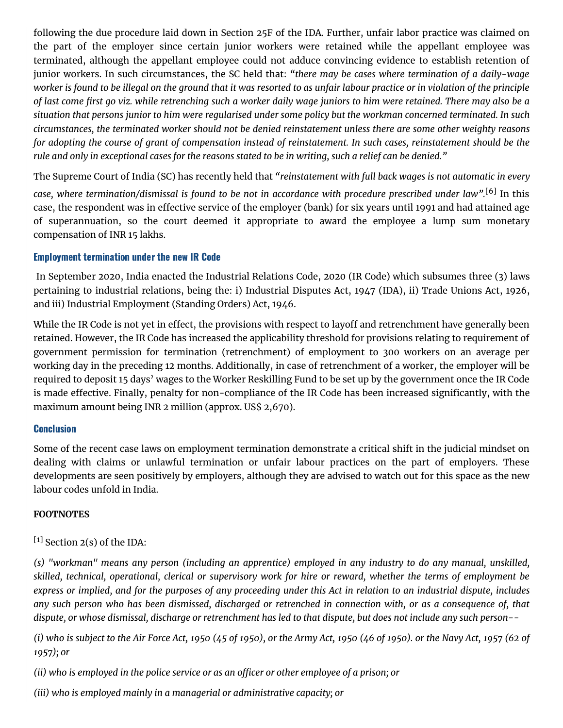following the due procedure laid down in Section 25F of the IDA. Further, unfair labor practice was claimed on the part of the employer since certain junior workers were retained while the appellant employee was terminated, although the appellant employee could not adduce convincing evidence to establish retention of junior workers. In such circumstances, the SC held that: *"there may be cases where termination of a daily-wage* worker is found to be illegal on the ground that it was resorted to as unfair labour practice or in violation of the principle of last come first go viz. while retrenching such a worker daily wage juniors to him were retained. There may also be a situation that persons junior to him were regularised under some policy but the workman concerned terminated. In such circumstances, the terminated worker should not be denied reinstatement unless there are some other weighty reasons for adopting the course of grant of compensation instead of reinstatement. In such cases, reinstatement should be the rule and only in exceptional cases for the reasons stated to be in writing, such a relief can be denied."

The Supreme Court of India (SC) has recently held that *"reinstatement with full back wages is not automatic in every*

*case, where termination/dismissal is found to be not in accordance with procedure prescribed under law".* [6] In this case, the respondent was in effective service of the employer (bank) for six years until 1991 and had attained age of superannuation, so the court deemed it appropriate to award the employee a lump sum monetary compensation of INR 15 lakhs.

### Employment termination under the new IR Code

In September 2020, India enacted the Industrial Relations Code, 2020 (IR Code) which subsumes three (3) laws pertaining to industrial relations, being the: i) Industrial Disputes Act, 1947 (IDA), ii) Trade Unions Act, 1926, and iii) Industrial Employment (Standing Orders) Act, 1946.

While the IR Code is not yet in effect, the provisions with respect to layoff and retrenchment have generally been retained. However, the IR Code has increased the applicability threshold for provisions relating to requirement of government permission for termination (retrenchment) of employment to 300 workers on an average per working day in the preceding 12 months. Additionally, in case of retrenchment of a worker, the employer will be required to deposit 15 days' wages to the Worker Reskilling Fund to be set up by the government once the IR Code is made effective. Finally, penalty for non-compliance of the IR Code has been increased significantly, with the maximum amount being INR 2 million (approx. US\$ 2,670).

#### Conclusion

Some of the recent case laws on employment termination demonstrate a critical shift in the judicial mindset on dealing with claims or unlawful termination or unfair labour practices on the part of employers. These developments are seen positively by employers, although they are advised to watch out for this space as the new labour codes unfold in India.

#### **FOOTNOTES**

### $[1]$  Section 2(s) of the IDA:

(s) "workman" means any person (including an apprentice) employed in any industry to do any manual, unskilled, skilled, technical, operational, clerical or supervisory work for hire or reward, whether the terms of employment be express or implied, and for the purposes of any proceeding under this Act in relation to an industrial dispute, includes any such person who has been dismissed, discharged or retrenched in connection with, or as a consequence of, that dispute, or whose dismissal, discharge or retrenchment has led to that dispute, but does not include any such person--

(i) who is subject to the Air Force Act, 1950 (45 of 1950), or the Army Act, 1950 (46 of 1950). or the Navy Act, 1957 (62 of *1957); or*

(ii) who is employed in the police service or as an officer or other employee of a prison; or

*(iii) who is employed mainly in a managerial or administrative capacity; or*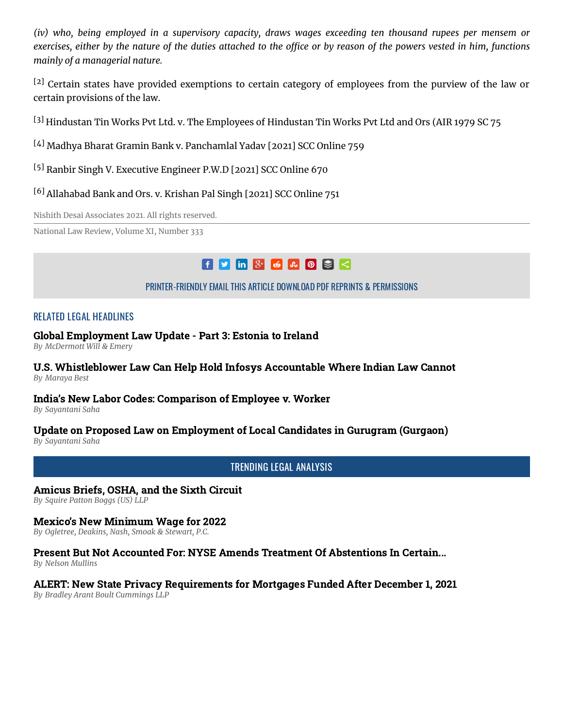(iv) who, being employed in a supervisory capacity, draws wages exceeding ten thousand rupees per mensem or exercises, either by the nature of the duties attached to the office or by reason of the powers vested in him. functions *mainly of a managerial nature.*

<sup>[2]</sup> Certain states have provided exemptions to certain category of employees from the purview of the law or certain provisions of the law.

<sup>[3]</sup> Hindustan Tin Works Pvt Ltd. v. The Employees of Hindustan Tin Works Pvt Ltd and Ors (AIR 1979 SC 75

- [4] Madhya Bharat Gramin Bank v. Panchamlal Yadav [2021] SCC Online 759
- [5] Ranbir Singh V. Executive Engineer P.W.D [2021] SCC Online 670
- [6] Allahabad Bank and Ors. v. Krishan Pal Singh [2021] SCC Online 751

Nishith Desai Associates 2021. All rights reserved.

National Law Review, Volume XI, Number 333

# $f$  y in  $8$  6  $\sim$  0  $3$   $\leq$

[PRINTER-FRIENDLY](https://www.natlawreview.com/print/article/employment-termination-india-recent-developments) EMAIL THIS [ARTICLE](https://www.natlawreview.com/printmail/article/employment-termination-india-recent-developments) [DOWNLOAD](https://www.natlawreview.com/printpdf/159475) PDF REPRINTS & [PERMISSIONS](https://www.natlawreview.com/reprints-and-permissions)

### RELATED LEGAL HEADLINES

#### Global [Employment](https://www.natlawreview.com/article/global-employment-law-update-part-3-estonia-to-ireland) Law Update - Part 3: Estonia to Ireland

*By [McDermott](https://www.natlawreview.com/author/mcdermott-will-emery) Will & Emery*

#### U.S. [Whistleblower](https://www.natlawreview.com/article/us-whistleblower-law-can-help-hold-infosys-accountable-where-indian-law-cannot) Law Can Help Hold Infosys Accountable Where Indian Law Cannot *By [Maraya](https://www.natlawreview.com/author/maraya-best) Best*

#### India's New Labor Codes: [Comparison](https://www.natlawreview.com/article/india-s-new-labor-codes-comparison-employee-v-worker) of Employee v. Worker

*By [Sayantani](https://www.natlawreview.com/author/sayantani-saha) Saha*

### Update on Proposed Law on [Employment](https://www.natlawreview.com/article/update-proposed-law-employment-local-candidates-gurugram-gurgaon) of Local Candidates in Gurugram (Gurgaon)

*By [Sayantani](https://www.natlawreview.com/author/sayantani-saha) Saha*

TRENDING LEGAL ANALYSIS

#### [Amicus](https://www.natlawreview.com/article/amicus-briefs-osha-and-sixth-circuit) Briefs, OSHA, and the Sixth Circuit

*By Squire Patton Boggs (US) LLP*

#### Mexico's New [Minimum](https://www.natlawreview.com/article/mexico-s-new-minimum-wage-2022) Wage for 2022

*By Ogletree, Deakins, Nash, Smoak & Stewart, P.C.*

## Present But Not Accounted For: NYSE Amends Treatment Of [Abstentions](https://www.natlawreview.com/article/present-not-accounted-nyse-amends-treatment-abstentions-certain-shareholder-votes) In Certain...

*By Nelson Mullins*

#### ALERT: New State Privacy [Requirements](https://www.natlawreview.com/article/alert-new-state-privacy-requirements-mortgages-funded-after-december-1-2021) for Mortgages Funded After December 1, 2021

*By Bradley Arant Boult Cummings LLP*